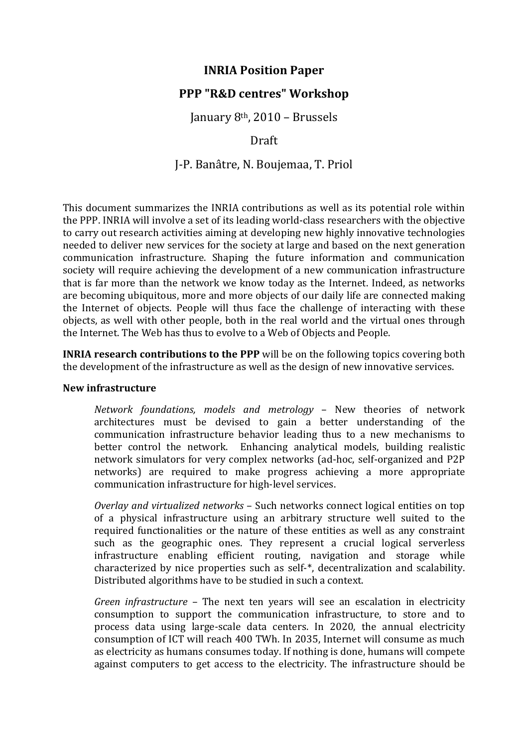# **INRIA Position Paper**

## **PPP "R&D centres" Workshop**

January 8<sup>th</sup>, 2010 – Brussels

### Draft

J-P. Banâtre, N. Boujemaa, T. Priol

This document summarizes the INRIA contributions as well as its potential role within the PPP. INRIA will involve a set of its leading world-class researchers with the objective to carry out research activities aiming at developing new highly innovative technologies needed to deliver new services for the society at large and based on the next generation communication infrastructure. Shaping the future information and communication society will require achieving the development of a new communication infrastructure that is far more than the network we know today as the Internet. Indeed, as networks are becoming ubiquitous, more and more objects of our daily life are connected making the Internet of objects. People will thus face the challenge of interacting with these objects, as well with other people, both in the real world and the virtual ones through the Internet. The Web has thus to evolve to a Web of Objects and People.

**INRIA research contributions to the PPP** will be on the following topics covering both the development of the infrastructure as well as the design of new innovative services.

### **New%infrastructure**

*Network foundations, models and metrology - New theories of network* architectures must be devised to gain a better understanding of the communication' infrastructure' behavior' leading' thus' to' a' new' mechanisms' to' better control the network. Enhancing analytical models, building realistic network simulators for very complex networks (ad-hoc, self-organized and P2P) networks) are required to make progress achieving a more appropriate communication infrastructure for high-level services.

*Overlay and virtualized networks* – Such networks connect logical entities on top of a physical infrastructure using an arbitrary structure well suited to the required functionalities or the nature of these entities as well as any constraint such as the geographic ones. They represent a crucial logical serverless infrastructure enabling efficient routing, navigation and storage while characterized by nice properties such as self- $*$ , decentralization and scalability. Distributed algorithms have to be studied in such a context.

*Green infrastructure* – The next ten years will see an escalation in electricity consumption to support the communication infrastructure, to store and to process data using large-scale data centers. In 2020, the annual electricity consumption of ICT will reach 400 TWh. In 2035, Internet will consume as much as electricity as humans consumes today. If nothing is done, humans will compete against computers to get access to the electricity. The infrastructure should be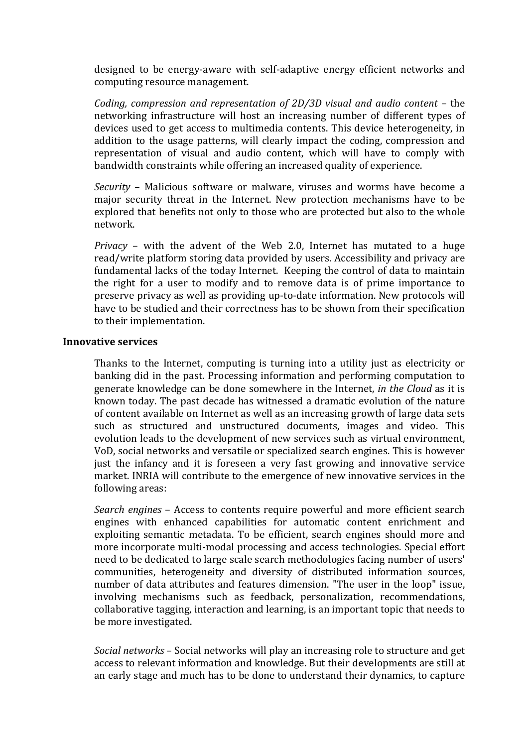designed to be energy-aware with self-adaptive energy efficient networks and computing resource management.

*Coding, compression and representation of 2D/3D visual and audio content* – the networking infrastructure will host an increasing number of different types of devices used to get access to multimedia contents. This device heterogeneity, in addition to the usage patterns, will clearly impact the coding, compression and representation of visual and audio content, which will have to comply with bandwidth constraints while offering an increased quality of experience.

*Security* – Malicious software or malware, viruses and worms have become a major security threat in the Internet. New protection mechanisms have to be explored that benefits not only to those who are protected but also to the whole network.'

*Privacy* – with the advent of the Web 2.0, Internet has mutated to a huge read/write platform storing data provided by users. Accessibility and privacy are fundamental lacks of the today Internet. Keeping the control of data to maintain the right for a user to modify and to remove data is of prime importance to preserve privacy as well as providing up-to-date information. New protocols will have to be studied and their correctness has to be shown from their specification to their implementation.

### **Innovative services**

Thanks to the Internet, computing is turning into a utility just as electricity or banking did in the past. Processing information and performing computation to generate knowledge can be done somewhere in the Internet, *in the Cloud* as it is known'today. The past decade has witnessed a dramatic evolution of the nature' of content available on Internet as well as an increasing growth of large data sets such' as' structured' and' unstructured' documents,' images' and' video.' This' evolution leads to the development of new services such as virtual environment, VoD, social networks and versatile or specialized search engines. This is however just the infancy and it is foreseen a very fast growing and innovative service market. INRIA will contribute to the emergence of new innovative services in the following areas:

*Search engines* – Access to contents require powerful and more efficient search engines with enhanced capabilities for automatic content enrichment and exploiting semantic metadata. To be efficient, search engines should more and more incorporate multi-modal processing and access technologies. Special effort need to be dedicated to large scale search methodologies facing number of users' communities, heterogeneity and diversity of distributed information sources, number of data attributes and features dimension. "The user in the loop" issue, involving mechanisms such as feedback, personalization, recommendations, collaborative tagging, interaction and learning, is an important topic that needs to be more investigated.

*Social networks* – Social networks will play an increasing role to structure and get access to relevant information and knowledge. But their developments are still at an early stage and much has to be done to understand their dynamics, to capture